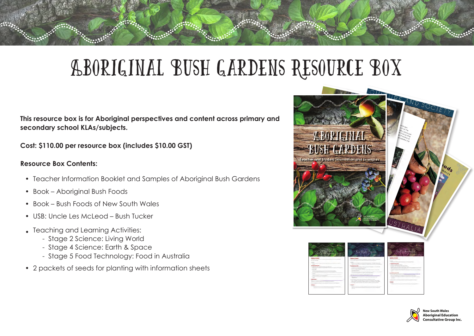# Aboriginal Bush Gardens Resource Box

**This resource box is for Aboriginal perspectives and content across primary and secondary school KLAs/subjects.**

**Cost: \$110.00 per resource box (includes \$10.00 GST)**

### **Resource Box Contents:**

- Teacher Information Booklet and Samples of Aboriginal Bush Gardens
- Book Aboriginal Bush Foods
- Book Bush Foods of New South Wales
- USB: Uncle Les McLeod Bush Tucker
- Teaching and Learning Activities:
	- Stage 2 Science: Living World
	- Stage 4 Science: Earth & Space
	- Stage 5 Food Technology: Food in Australia
- 2 packets of seeds for planting with information sheets